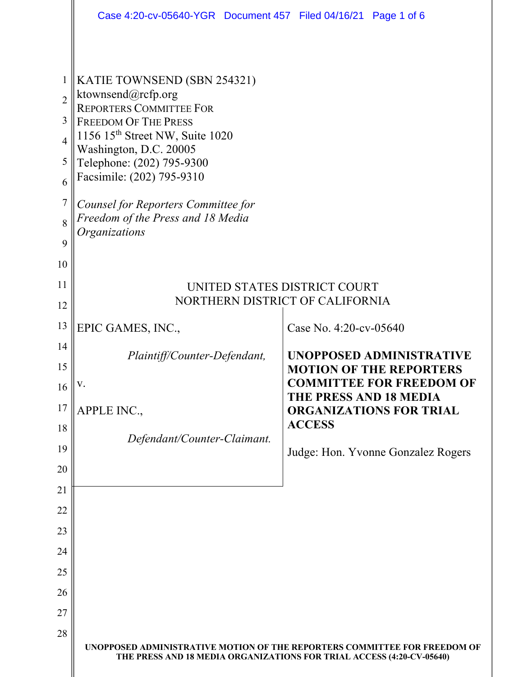|                | Case 4:20-cv-05640-YGR  Document 457  Filed 04/16/21  Page 1 of 6                                                                                  |                                                                 |  |  |  |
|----------------|----------------------------------------------------------------------------------------------------------------------------------------------------|-----------------------------------------------------------------|--|--|--|
|                |                                                                                                                                                    |                                                                 |  |  |  |
| $\mathbf{1}$   | KATIE TOWNSEND (SBN 254321)                                                                                                                        |                                                                 |  |  |  |
| $\overline{2}$ | ktownsend@rcfp.org<br><b>REPORTERS COMMITTEE FOR</b>                                                                                               |                                                                 |  |  |  |
| 3              | <b>FREEDOM OF THE PRESS</b>                                                                                                                        |                                                                 |  |  |  |
| $\overline{4}$ | 1156 15 <sup>th</sup> Street NW, Suite 1020<br>Washington, D.C. 20005                                                                              |                                                                 |  |  |  |
| 5              | Telephone: (202) 795-9300                                                                                                                          |                                                                 |  |  |  |
| 6              | Facsimile: (202) 795-9310                                                                                                                          |                                                                 |  |  |  |
| $\overline{7}$ | Counsel for Reporters Committee for                                                                                                                |                                                                 |  |  |  |
| 8              | Freedom of the Press and 18 Media<br>Organizations                                                                                                 |                                                                 |  |  |  |
| 9              |                                                                                                                                                    |                                                                 |  |  |  |
| 10             |                                                                                                                                                    |                                                                 |  |  |  |
| 11<br>12       | UNITED STATES DISTRICT COURT<br>NORTHERN DISTRICT OF CALIFORNIA                                                                                    |                                                                 |  |  |  |
| 13             |                                                                                                                                                    |                                                                 |  |  |  |
| 14             | EPIC GAMES, INC.,                                                                                                                                  | Case No. 4:20-cv-05640                                          |  |  |  |
| 15             | Plaintiff/Counter-Defendant,                                                                                                                       | UNOPPOSED ADMINISTRATIVE<br><b>MOTION OF THE REPORTERS</b>      |  |  |  |
| 16             |                                                                                                                                                    | <b>COMMITTEE FOR FREEDOM OF</b>                                 |  |  |  |
| 17             | APPLE INC.,                                                                                                                                        | <b>THE PRESS AND 18 MEDIA</b><br><b>ORGANIZATIONS FOR TRIAL</b> |  |  |  |
| 18             |                                                                                                                                                    | <b>ACCESS</b>                                                   |  |  |  |
| 19             | Defendant/Counter-Claimant.                                                                                                                        | Judge: Hon. Yvonne Gonzalez Rogers                              |  |  |  |
| 20             |                                                                                                                                                    |                                                                 |  |  |  |
| 21             |                                                                                                                                                    |                                                                 |  |  |  |
| 22             |                                                                                                                                                    |                                                                 |  |  |  |
| 23             |                                                                                                                                                    |                                                                 |  |  |  |
| 24             |                                                                                                                                                    |                                                                 |  |  |  |
| 25             |                                                                                                                                                    |                                                                 |  |  |  |
| 26             |                                                                                                                                                    |                                                                 |  |  |  |
| 27             |                                                                                                                                                    |                                                                 |  |  |  |
| 28             | UNOPPOSED ADMINISTRATIVE MOTION OF THE REPORTERS COMMITTEE FOR FREEDOM OF<br>THE PRESS AND 18 MEDIA ORGANIZATIONS FOR TRIAL ACCESS (4:20-CV-05640) |                                                                 |  |  |  |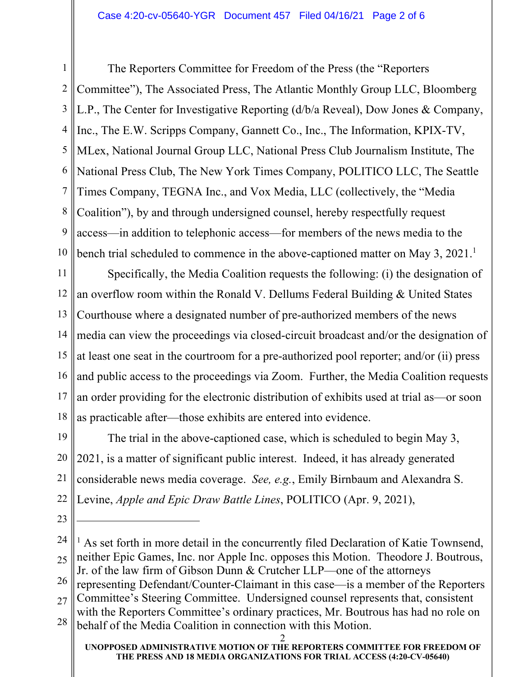1 2 3 4 5 6 7 8 9 10 The Reporters Committee for Freedom of the Press (the "Reporters Committee"), The Associated Press, The Atlantic Monthly Group LLC, Bloomberg L.P., The Center for Investigative Reporting (d/b/a Reveal), Dow Jones & Company, Inc., The E.W. Scripps Company, Gannett Co., Inc., The Information, KPIX-TV, MLex, National Journal Group LLC, National Press Club Journalism Institute, The National Press Club, The New York Times Company, POLITICO LLC, The Seattle Times Company, TEGNA Inc., and Vox Media, LLC (collectively, the "Media Coalition"), by and through undersigned counsel, hereby respectfully request access—in addition to telephonic access—for members of the news media to the bench trial scheduled to commence in the above-captioned matter on May 3, 2021.<sup>1</sup>

11 12 13 14 15 16 17 18 Specifically, the Media Coalition requests the following: (i) the designation of an overflow room within the Ronald V. Dellums Federal Building & United States Courthouse where a designated number of pre-authorized members of the news media can view the proceedings via closed-circuit broadcast and/or the designation of at least one seat in the courtroom for a pre-authorized pool reporter; and/or (ii) press and public access to the proceedings via Zoom. Further, the Media Coalition requests an order providing for the electronic distribution of exhibits used at trial as—or soon as practicable after—those exhibits are entered into evidence.

19 20 21 22 The trial in the above-captioned case, which is scheduled to begin May 3, 2021, is a matter of significant public interest. Indeed, it has already generated considerable news media coverage. *See, e.g.*, Emily Birnbaum and Alexandra S. Levine, *Apple and Epic Draw Battle Lines*, POLITICO (Apr. 9, 2021),

23

26 representing Defendant/Counter-Claimant in this case—is a member of the Reporters

27 28 Committee's Steering Committee. Undersigned counsel represents that, consistent with the Reporters Committee's ordinary practices, Mr. Boutrous has had no role on

behalf of the Media Coalition in connection with this Motion.

<sup>24</sup> 25  $<sup>1</sup>$  As set forth in more detail in the concurrently filed Declaration of Katie Townsend,</sup> neither Epic Games, Inc. nor Apple Inc. opposes this Motion. Theodore J. Boutrous, Jr. of the law firm of Gibson Dunn & Crutcher LLP—one of the attorneys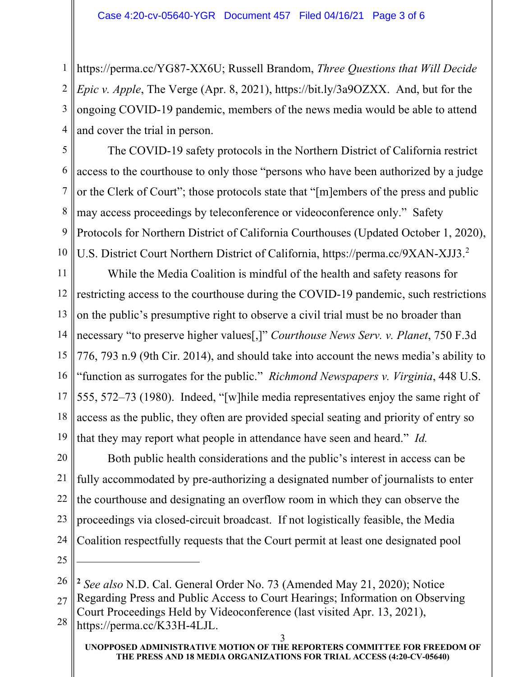1 https://perma.cc/YG87-XX6U; Russell Brandom, *Three Questions that Will Decide*  2 3 4 *Epic v. Apple*, The Verge (Apr. 8, 2021), https://bit.ly/3a9OZXX. And, but for the ongoing COVID-19 pandemic, members of the news media would be able to attend and cover the trial in person.

5 6 7 8 9 10 The COVID-19 safety protocols in the Northern District of California restrict access to the courthouse to only those "persons who have been authorized by a judge or the Clerk of Court"; those protocols state that "[m]embers of the press and public may access proceedings by teleconference or videoconference only." Safety Protocols for Northern District of California Courthouses (Updated October 1, 2020), U.S. District Court Northern District of California, https://perma.cc/9XAN-XJJ3.<sup>2</sup>

11 12 13 14 15 16 17 18 19 While the Media Coalition is mindful of the health and safety reasons for restricting access to the courthouse during the COVID-19 pandemic, such restrictions on the public's presumptive right to observe a civil trial must be no broader than necessary "to preserve higher values[,]" *Courthouse News Serv. v. Planet*, 750 F.3d 776, 793 n.9 (9th Cir. 2014), and should take into account the news media's ability to "function as surrogates for the public." *Richmond Newspapers v. Virginia*, 448 U.S. 555, 572–73 (1980). Indeed, "[w]hile media representatives enjoy the same right of access as the public, they often are provided special seating and priority of entry so that they may report what people in attendance have seen and heard." *Id.* 

20 21 22 23 24 Both public health considerations and the public's interest in access can be fully accommodated by pre-authorizing a designated number of journalists to enter the courthouse and designating an overflow room in which they can observe the proceedings via closed-circuit broadcast. If not logistically feasible, the Media Coalition respectfully requests that the Court permit at least one designated pool

25

26 **<sup>2</sup>** *See also* N.D. Cal. General Order No. 73 (Amended May 21, 2020); Notice

27 28 Regarding Press and Public Access to Court Hearings; Information on Observing Court Proceedings Held by Videoconference (last visited Apr. 13, 2021), https://perma.cc/K33H-4LJL.

**UNOPPOSED ADMINISTRATIVE MOTION OF THE REPORTERS COMMITTEE FOR FREEDOM OF THE PRESS AND 18 MEDIA ORGANIZATIONS FOR TRIAL ACCESS (4:20-CV-05640)** 3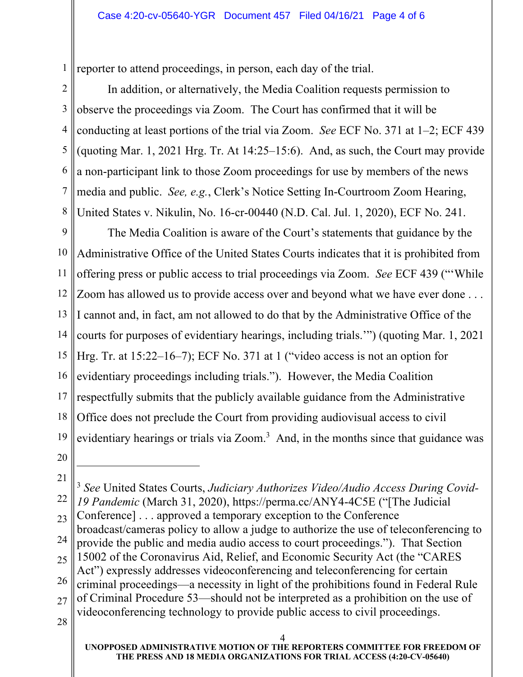1 reporter to attend proceedings, in person, each day of the trial.

2 3 4 5 6 7 8 In addition, or alternatively, the Media Coalition requests permission to observe the proceedings via Zoom. The Court has confirmed that it will be conducting at least portions of the trial via Zoom. *See* ECF No. 371 at 1–2; ECF 439 (quoting Mar. 1, 2021 Hrg. Tr. At 14:25–15:6). And, as such, the Court may provide a non-participant link to those Zoom proceedings for use by members of the news media and public. *See, e.g.*, Clerk's Notice Setting In-Courtroom Zoom Hearing, United States v. Nikulin, No. 16-cr-00440 (N.D. Cal. Jul. 1, 2020), ECF No. 241.

9 10 11 12 13 14 15 16 17 18 19 20 The Media Coalition is aware of the Court's statements that guidance by the Administrative Office of the United States Courts indicates that it is prohibited from offering press or public access to trial proceedings via Zoom. *See* ECF 439 ("'While Zoom has allowed us to provide access over and beyond what we have ever done . . . I cannot and, in fact, am not allowed to do that by the Administrative Office of the courts for purposes of evidentiary hearings, including trials.'") (quoting Mar. 1, 2021 Hrg. Tr. at 15:22–16–7); ECF No. 371 at 1 ("video access is not an option for evidentiary proceedings including trials."). However, the Media Coalition respectfully submits that the publicly available guidance from the Administrative Office does not preclude the Court from providing audiovisual access to civil evidentiary hearings or trials via Zoom.<sup>3</sup> And, in the months since that guidance was

<sup>4</sup> 21 22 23 24 25 26 27 28 <sup>3</sup> *See* United States Courts, *Judiciary Authorizes Video/Audio Access During Covid-19 Pandemic* (March 31, 2020), https://perma.cc/ANY4-4C5E ("[The Judicial Conference] . . . approved a temporary exception to the Conference broadcast/cameras policy to allow a judge to authorize the use of teleconferencing to provide the public and media audio access to court proceedings."). That Section 15002 of the Coronavirus Aid, Relief, and Economic Security Act (the "CARES Act") expressly addresses videoconferencing and teleconferencing for certain criminal proceedings—a necessity in light of the prohibitions found in Federal Rule of Criminal Procedure 53—should not be interpreted as a prohibition on the use of videoconferencing technology to provide public access to civil proceedings.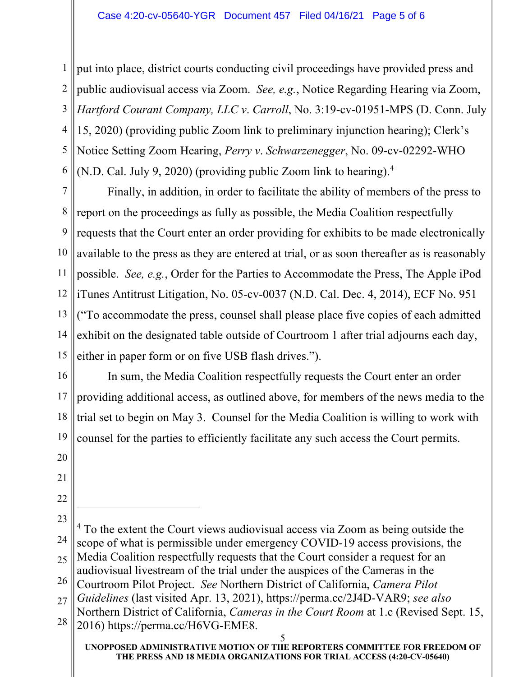1 || put into place, district courts conducting civil proceedings have provided press and 2 3 4 5 6 public audiovisual access via Zoom. *See, e.g.*, Notice Regarding Hearing via Zoom, *Hartford Courant Company, LLC v*. *Carroll*, No. 3:19-cv-01951-MPS (D. Conn. July 15, 2020) (providing public Zoom link to preliminary injunction hearing); Clerk's Notice Setting Zoom Hearing, *Perry v*. *Schwarzenegger*, No. 09-cv-02292-WHO (N.D. Cal. July 9, 2020) (providing public Zoom link to hearing). 4

7 8 9 10 11 12 13 14 15 Finally, in addition, in order to facilitate the ability of members of the press to report on the proceedings as fully as possible, the Media Coalition respectfully requests that the Court enter an order providing for exhibits to be made electronically available to the press as they are entered at trial, or as soon thereafter as is reasonably possible. *See, e.g.*, Order for the Parties to Accommodate the Press, The Apple iPod iTunes Antitrust Litigation, No. 05-cv-0037 (N.D. Cal. Dec. 4, 2014), ECF No. 951 ("To accommodate the press, counsel shall please place five copies of each admitted exhibit on the designated table outside of Courtroom 1 after trial adjourns each day, either in paper form or on five USB flash drives.").

16 17 18 19 In sum, the Media Coalition respectfully requests the Court enter an order providing additional access, as outlined above, for members of the news media to the trial set to begin on May 3. Counsel for the Media Coalition is willing to work with counsel for the parties to efficiently facilitate any such access the Court permits.

- 20
- 21
- 22

<sup>23</sup> 24 25 <sup>4</sup> To the extent the Court views audiovisual access via Zoom as being outside the scope of what is permissible under emergency COVID-19 access provisions, the Media Coalition respectfully requests that the Court consider a request for an audiovisual livestream of the trial under the auspices of the Cameras in the

<sup>26</sup> Courtroom Pilot Project. *See* Northern District of California, *Camera Pilot* 

<sup>27</sup> *Guidelines* (last visited Apr. 13, 2021), https://perma.cc/2J4D-VAR9; *see also*

<sup>28</sup> Northern District of California, *Cameras in the Court Room* at 1.c (Revised Sept. 15, 2016) https://perma.cc/H6VG-EME8.